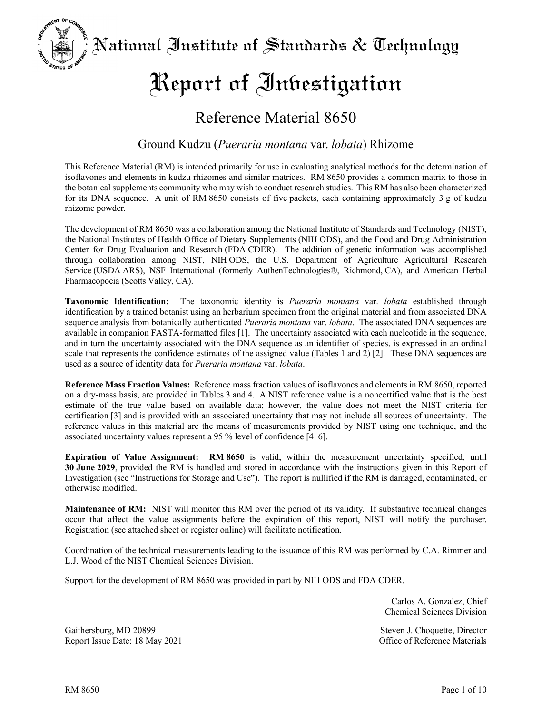National Institute of Standards & Technology

# Report of Inbestigation

# Reference Material 8650

### Ground Kudzu (*Pueraria montana* var. *lobata*) Rhizome

This Reference Material (RM) is intended primarily for use in evaluating analytical methods for the determination of isoflavones and elements in kudzu rhizomes and similar matrices. RM 8650 provides a common matrix to those in the botanical supplements community who may wish to conduct research studies. This RM has also been characterized for its DNA sequence. A unit of RM 8650 consists of five packets, each containing approximately 3 g of kudzu rhizome powder.

The development of RM 8650 was a collaboration among the National Institute of Standards and Technology (NIST), the National Institutes of Health Office of Dietary Supplements (NIH ODS), and the Food and Drug Administration Center for Drug Evaluation and Research (FDA CDER). The addition of genetic information was accomplished through collaboration among NIST, NIH ODS, the U.S. Department of Agriculture Agricultural Research Service (USDA ARS), NSF International (formerly AuthenTechnologies®, Richmond, CA), and American Herbal Pharmacopoeia (Scotts Valley, CA).

**Taxonomic Identification:** The taxonomic identity is *Pueraria montana* var. *lobata* established through identification by a trained botanist using an herbarium specimen from the original material and from associated DNA sequence analysis from botanically authenticated *Pueraria montana* var. *lobata*. The associated DNA sequences are available in companion FASTA-formatted files [1]. The uncertainty associated with each nucleotide in the sequence, and in turn the uncertainty associated with the DNA sequence as an identifier of species, is expressed in an ordinal scale that represents the confidence estimates of the assigned value (Tables 1 and 2) [2]. These DNA sequences are used as a source of identity data for *Pueraria montana* var. *lobata*.

**Reference Mass Fraction Values:** Reference mass fraction values of isoflavones and elements in RM 8650, reported on a dry-mass basis, are provided in Tables 3 and 4. A NIST reference value is a noncertified value that is the best estimate of the true value based on available data; however, the value does not meet the NIST criteria for certification [3] and is provided with an associated uncertainty that may not include all sources of uncertainty. The reference values in this material are the means of measurements provided by NIST using one technique, and the associated uncertainty values represent a 95 % level of confidence [4–6].

**Expiration of Value Assignment: RM 8650** is valid, within the measurement uncertainty specified, until **30 June 2029**, provided the RM is handled and stored in accordance with the instructions given in this Report of Investigation (see "Instructions for Storage and Use"). The report is nullified if the RM is damaged, contaminated, or otherwise modified.

**Maintenance of RM:** NIST will monitor this RM over the period of its validity. If substantive technical changes occur that affect the value assignments before the expiration of this report, NIST will notify the purchaser. Registration (see attached sheet or register online) will facilitate notification.

Coordination of the technical measurements leading to the issuance of this RM was performed by C.A. Rimmer and L.J. Wood of the NIST Chemical Sciences Division.

Support for the development of RM 8650 was provided in part by NIH ODS and FDA CDER.

Carlos A. Gonzalez, Chief Chemical Sciences Division

Gaithersburg, MD 20899 Steven J. Choquette, Director Report Issue Date: 18 May 2021 Office of Reference Materials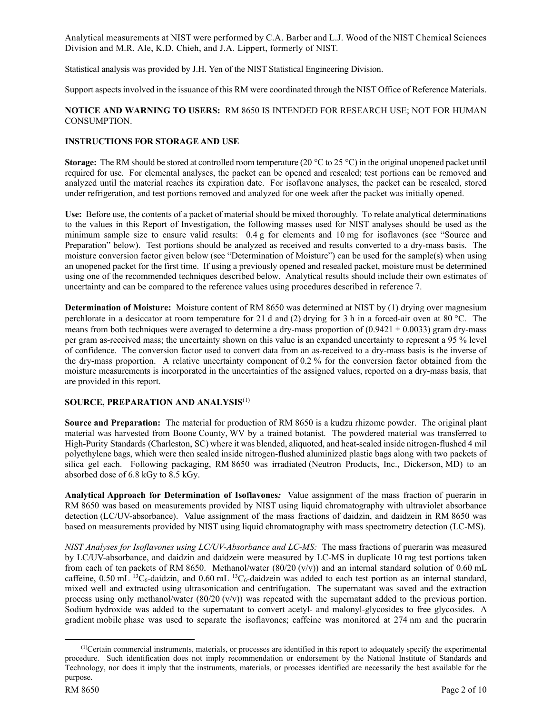Analytical measurements at NIST were performed by C.A. Barber and L.J. Wood of the NIST Chemical Sciences Division and M.R. Ale, K.D. Chieh, and J.A. Lippert, formerly of NIST.

Statistical analysis was provided by J.H. Yen of the NIST Statistical Engineering Division.

Support aspects involved in the issuance of this RM were coordinated through the NIST Office of Reference Materials.

#### **NOTICE AND WARNING TO USERS:** RM 8650 IS INTENDED FOR RESEARCH USE; NOT FOR HUMAN CONSUMPTION.

#### **INSTRUCTIONS FOR STORAGE AND USE**

**Storage:** The RM should be stored at controlled room temperature (20 °C to 25 °C) in the original unopened packet until required for use. For elemental analyses, the packet can be opened and resealed; test portions can be removed and analyzed until the material reaches its expiration date. For isoflavone analyses, the packet can be resealed, stored under refrigeration, and test portions removed and analyzed for one week after the packet was initially opened.

**Use:** Before use, the contents of a packet of material should be mixed thoroughly. To relate analytical determinations to the values in this Report of Investigation, the following masses used for NIST analyses should be used as the minimum sample size to ensure valid results: 0.4 g for elements and 10 mg for isoflavones (see "Source and Preparation" below). Test portions should be analyzed as received and results converted to a dry-mass basis. The moisture conversion factor given below (see "Determination of Moisture") can be used for the sample(s) when using an unopened packet for the first time. If using a previously opened and resealed packet, moisture must be determined using one of the recommended techniques described below. Analytical results should include their own estimates of uncertainty and can be compared to the reference values using procedures described in reference 7.

**Determination of Moisture:** Moisture content of RM 8650 was determined at NIST by (1) drying over magnesium perchlorate in a desiccator at room temperature for 21 d and (2) drying for 3 h in a forced-air oven at 80 °C. The means from both techniques were averaged to determine a dry-mass proportion of  $(0.9421 \pm 0.0033)$  gram dry-mass per gram as-received mass; the uncertainty shown on this value is an expanded uncertainty to represent a 95 % level of confidence. The conversion factor used to convert data from an as-received to a dry-mass basis is the inverse of the dry-mass proportion. A relative uncertainty component of 0.2 % for the conversion factor obtained from the moisture measurements is incorporated in the uncertainties of the assigned values, reported on a dry-mass basis, that are provided in this report.

#### **SOURCE, PREPARATION AND ANALYSIS**([1](#page-1-0))

**Source and Preparation:** The material for production of RM 8650 is a kudzu rhizome powder. The original plant material was harvested from Boone County, WV by a trained botanist. The powdered material was transferred to High-Purity Standards (Charleston, SC) where it was blended, aliquoted, and heat-sealed inside nitrogen-flushed 4 mil polyethylene bags, which were then sealed inside nitrogen-flushed aluminized plastic bags along with two packets of silica gel each. Following packaging, RM 8650 was irradiated (Neutron Products, Inc., Dickerson, MD) to an absorbed dose of 6.8 kGy to 8.5 kGy.

**Analytical Approach for Determination of Isoflavones***:* Value assignment of the mass fraction of puerarin in RM 8650 was based on measurements provided by NIST using liquid chromatography with ultraviolet absorbance detection (LC/UV-absorbance). Value assignment of the mass fractions of daidzin, and daidzein in RM 8650 was based on measurements provided by NIST using liquid chromatography with mass spectrometry detection (LC-MS).

*NIST Analyses for Isoflavones using LC/UV-Absorbance and LC-MS:* The mass fractions of puerarin was measured by LC/UV-absorbance, and daidzin and daidzein were measured by LC-MS in duplicate 10 mg test portions taken from each of ten packets of RM 8650. Methanol/water  $(80/20 \, (v/v))$  and an internal standard solution of 0.60 mL caffeine,  $0.50$  mL  $^{13}C_6$ -daidzin, and  $0.60$  mL  $^{13}C_6$ -daidzein was added to each test portion as an internal standard, mixed well and extracted using ultrasonication and centrifugation. The supernatant was saved and the extraction process using only methanol/water  $(80/20 \, (v/v))$  was repeated with the supernatant added to the previous portion. Sodium hydroxide was added to the supernatant to convert acetyl- and malonyl-glycosides to free glycosides. A gradient mobile phase was used to separate the isoflavones; caffeine was monitored at 274 nm and the puerarin

<span id="page-1-0"></span> $(1)$ Certain commercial instruments, materials, or processes are identified in this report to adequately specify the experimental procedure. Such identification does not imply recommendation or endorsement by the National Institute of Standards and Technology, nor does it imply that the instruments, materials, or processes identified are necessarily the best available for the purpose.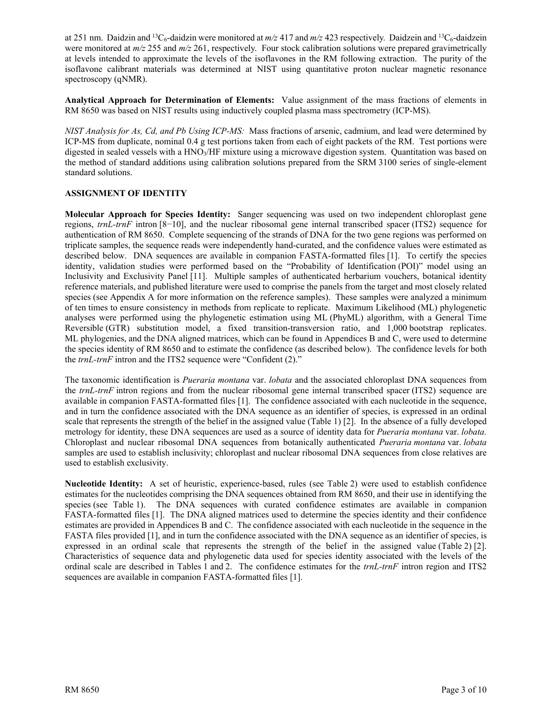at 251 nm. Daidzin and <sup>13</sup>C<sub>6</sub>-daidzin were monitored at  $m/z$  417 and  $m/z$  423 respectively. Daidzein and <sup>13</sup>C<sub>6</sub>-daidzein were monitored at *m/z* 255 and *m/z* 261, respectively. Four stock calibration solutions were prepared gravimetrically at levels intended to approximate the levels of the isoflavones in the RM following extraction. The purity of the isoflavone calibrant materials was determined at NIST using quantitative proton nuclear magnetic resonance spectroscopy (qNMR).

**Analytical Approach for Determination of Elements:** Value assignment of the mass fractions of elements in RM 8650 was based on NIST results using inductively coupled plasma mass spectrometry (ICP-MS).

*NIST Analysis for As, Cd, and Pb Using ICP-MS:* Mass fractions of arsenic, cadmium, and lead were determined by ICP-MS from duplicate, nominal 0.4 g test portions taken from each of eight packets of the RM. Test portions were digested in sealed vessels with a  $HNO<sub>3</sub>/HF$  mixture using a microwave digestion system. Quantitation was based on the method of standard additions using calibration solutions prepared from the SRM 3100 series of single-element standard solutions.

#### **ASSIGNMENT OF IDENTITY**

**Molecular Approach for Species Identity:** Sanger sequencing was used on two independent chloroplast gene regions, *trnL-trnF* intron [8−10], and the nuclear ribosomal gene internal transcribed spacer (ITS2) sequence for authentication of RM 8650. Complete sequencing of the strands of DNA for the two gene regions was performed on triplicate samples, the sequence reads were independently hand-curated, and the confidence values were estimated as described below. DNA sequences are available in companion FASTA-formatted files [1]. To certify the species identity, validation studies were performed based on the "Probability of Identification (POI)" model using an Inclusivity and Exclusivity Panel [11]. Multiple samples of authenticated herbarium vouchers, botanical identity reference materials, and published literature were used to comprise the panels from the target and most closely related species (see Appendix A for more information on the reference samples). These samples were analyzed a minimum of ten times to ensure consistency in methods from replicate to replicate. Maximum Likelihood (ML) phylogenetic analyses were performed using the phylogenetic estimation using ML (PhyML) algorithm, with a General Time Reversible (GTR) substitution model, a fixed transition-transversion ratio, and 1,000 bootstrap replicates. ML phylogenies, and the DNA aligned matrices, which can be found in Appendices B and C, were used to determine the species identity of RM 8650 and to estimate the confidence (as described below). The confidence levels for both the *trnL-trnF* intron and the ITS2 sequence were "Confident (2)."

The taxonomic identification is *Pueraria montana* var. *lobata* and the associated chloroplast DNA sequences from the *trnL-trnF* intron regions and from the nuclear ribosomal gene internal transcribed spacer (ITS2) sequence are available in companion FASTA-formatted files [1]. The confidence associated with each nucleotide in the sequence, and in turn the confidence associated with the DNA sequence as an identifier of species, is expressed in an ordinal scale that represents the strength of the belief in the assigned value (Table 1) [2]. In the absence of a fully developed metrology for identity, these DNA sequences are used as a source of identity data for *Pueraria montana* var. *lobata.*  Chloroplast and nuclear ribosomal DNA sequences from botanically authenticated *Pueraria montana* var. *lobata* samples are used to establish inclusivity; chloroplast and nuclear ribosomal DNA sequences from close relatives are used to establish exclusivity.

**Nucleotide Identity:** A set of heuristic, experience-based, rules (see Table 2) were used to establish confidence estimates for the nucleotides comprising the DNA sequences obtained from RM 8650, and their use in identifying the species (see Table 1). The DNA sequences with curated confidence estimates are available in companion FASTA-formatted files [1]. The DNA aligned matrices used to determine the species identity and their confidence estimates are provided in Appendices B and C. The confidence associated with each nucleotide in the sequence in the FASTA files provided [1], and in turn the confidence associated with the DNA sequence as an identifier of species, is expressed in an ordinal scale that represents the strength of the belief in the assigned value (Table 2) [2]. Characteristics of sequence data and phylogenetic data used for species identity associated with the levels of the ordinal scale are described in Tables 1 and 2. The confidence estimates for the *trnL-trnF* intron region and ITS2 sequences are available in companion FASTA-formatted files [1].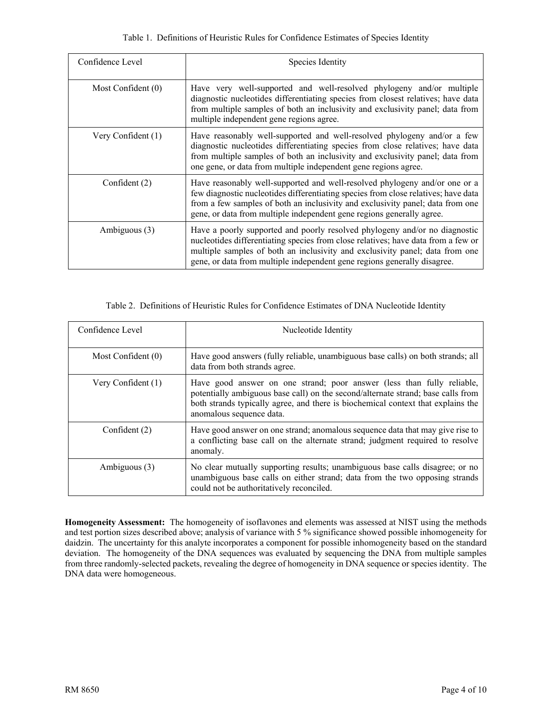| Confidence Level     | Species Identity                                                                                                                                                                                                                                                                                                            |
|----------------------|-----------------------------------------------------------------------------------------------------------------------------------------------------------------------------------------------------------------------------------------------------------------------------------------------------------------------------|
| Most Confident $(0)$ | Have very well-supported and well-resolved phylogeny and/or multiple<br>diagnostic nucleotides differentiating species from closest relatives; have data<br>from multiple samples of both an inclusivity and exclusivity panel; data from<br>multiple independent gene regions agree.                                       |
| Very Confident (1)   | Have reasonably well-supported and well-resolved phylogeny and/or a few<br>diagnostic nucleotides differentiating species from close relatives; have data<br>from multiple samples of both an inclusivity and exclusivity panel; data from<br>one gene, or data from multiple independent gene regions agree.               |
| Confident $(2)$      | Have reasonably well-supported and well-resolved phylogeny and/or one or a<br>few diagnostic nucleotides differentiating species from close relatives; have data<br>from a few samples of both an inclusivity and exclusivity panel; data from one<br>gene, or data from multiple independent gene regions generally agree. |
| Ambiguous (3)        | Have a poorly supported and poorly resolved phylogeny and/or no diagnostic<br>nucleotides differentiating species from close relatives; have data from a few or<br>multiple samples of both an inclusivity and exclusivity panel; data from one<br>gene, or data from multiple independent gene regions generally disagree. |

#### Table 2. Definitions of Heuristic Rules for Confidence Estimates of DNA Nucleotide Identity

| Confidence Level   | Nucleotide Identity                                                                                                                                                                                                                                                        |
|--------------------|----------------------------------------------------------------------------------------------------------------------------------------------------------------------------------------------------------------------------------------------------------------------------|
| Most Confident (0) | Have good answers (fully reliable, unambiguous base calls) on both strands; all<br>data from both strands agree.                                                                                                                                                           |
| Very Confident (1) | Have good answer on one strand; poor answer (less than fully reliable,<br>potentially ambiguous base call) on the second/alternate strand; base calls from<br>both strands typically agree, and there is biochemical context that explains the<br>anomalous sequence data. |
| Confident $(2)$    | Have good answer on one strand; anomalous sequence data that may give rise to<br>a conflicting base call on the alternate strand; judgment required to resolve<br>anomaly.                                                                                                 |
| Ambiguous (3)      | No clear mutually supporting results; unambiguous base calls disagree; or no<br>unambiguous base calls on either strand; data from the two opposing strands<br>could not be authoritatively reconciled.                                                                    |

**Homogeneity Assessment:** The homogeneity of isoflavones and elements was assessed at NIST using the methods and test portion sizes described above; analysis of variance with 5 % significance showed possible inhomogeneity for daidzin. The uncertainty for this analyte incorporates a component for possible inhomogeneity based on the standard deviation. The homogeneity of the DNA sequences was evaluated by sequencing the DNA from multiple samples from three randomly-selected packets, revealing the degree of homogeneity in DNA sequence or species identity. The DNA data were homogeneous.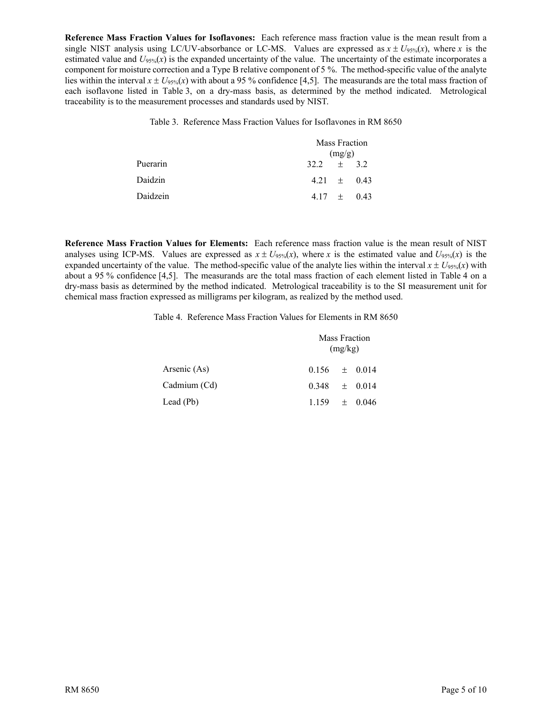**Reference Mass Fraction Values for Isoflavones:** Each reference mass fraction value is the mean result from a single NIST analysis using LC/UV-absorbance or LC-MS. Values are expressed as  $x \pm U_{95\%}(x)$ , where *x* is the estimated value and  $U_{95\%}(x)$  is the expanded uncertainty of the value. The uncertainty of the estimate incorporates a component for moisture correction and a Type B relative component of 5 %. The method-specific value of the analyte lies within the interval  $x \pm U_{95\%}(x)$  with about a 95 % confidence [4,5]. The measurands are the total mass fraction of each isoflavone listed in Table 3, on a dry-mass basis, as determined by the method indicated. Metrological traceability is to the measurement processes and standards used by NIST.

Table 3. Reference Mass Fraction Values for Isoflavones in RM 8650

|          |              | (mg/g) | Mass Fraction   |
|----------|--------------|--------|-----------------|
| Puerarin | $32.2 + 3.2$ |        |                 |
| Daidzin  |              |        | $4.21 \pm 0.43$ |
| Daidzein |              |        | 4.17 $\pm$ 0.43 |

**Reference Mass Fraction Values for Elements:** Each reference mass fraction value is the mean result of NIST analyses using ICP-MS. Values are expressed as  $x \pm U_{95\%}(x)$ , where *x* is the estimated value and  $U_{95\%}(x)$  is the expanded uncertainty of the value. The method-specific value of the analyte lies within the interval  $x \pm U_{95\%}(x)$  with about a 95 % confidence [4,5]. The measurands are the total mass fraction of each element listed in Table 4 on a dry-mass basis as determined by the method indicated. Metrological traceability is to the SI measurement unit for chemical mass fraction expressed as milligrams per kilogram, as realized by the method used.

Table 4. Reference Mass Fraction Values for Elements in RM 8650

|              |                   | (mg/kg) | Mass Fraction |
|--------------|-------------------|---------|---------------|
| Arsenic (As) | $0.156 \pm 0.014$ |         |               |
| Cadmium (Cd) | $0.348 \pm 0.014$ |         |               |
| Lead (Pb)    | $1.159 \pm 0.046$ |         |               |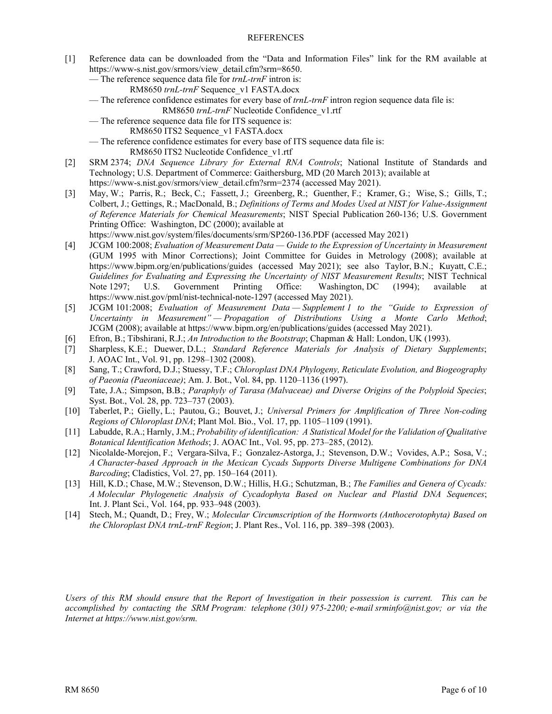#### REFERENCES

- [1] Reference data can be downloaded from the "Data and Information Files" link for the RM available at [https://www-s.nist.gov/srmors/view\\_detail.cfm?srm=8650.](https://www-s.nist.gov/srmors/view_detail.cfm?srm=8650)
	- The reference sequence data file for *trnL-trnF* intron is:
		- RM8650 *trnL-trnF* Sequence\_v1 FASTA.docx
	- The reference confidence estimates for every base of *trnL-trnF* intron region sequence data file is: RM8650 *trnL-trnF* Nucleotide Confidence\_v1.rtf
	- The reference sequence data file for ITS sequence is:
		- RM8650 ITS2 Sequence\_v1 FASTA.docx
	- The reference confidence estimates for every base of ITS sequence data file is:
		- RM8650 ITS2 Nucleotide Confidence\_v1.rtf
- [2] SRM 2374; *DNA Sequence Library for External RNA Controls*; National Institute of Standards and Technology; U.S. Department of Commerce: Gaithersburg, MD (20 March 2013); available at [https://www-s.nist.gov/srmors/view\\_detail.cfm?srm=2374](https://www-s.nist.gov/srmors/view_detail.cfm?srm=2374) (accessed May 2021).
- [3] May, W.; Parris, R.; Beck, C.; Fassett, J.; Greenberg, R.; Guenther, F.; Kramer, G.; Wise, S.; Gills, T.; Colbert, J.; Gettings, R.; MacDonald, B.; *Definitions of Terms and Modes Used at NIST for Value-Assignment of Reference Materials for Chemical Measurements*; NIST Special Publication 260-136; U.S. Government Printing Office: Washington, DC (2000); available at
	- <https://www.nist.gov/system/files/documents/srm/SP260-136.PDF> (accessed May 2021)
- [4] JCGM 100:2008; *Evaluation of Measurement Data — Guide to the Expression of Uncertainty in Measurement* (GUM 1995 with Minor Corrections); Joint Committee for Guides in Metrology (2008); available at <https://www.bipm.org/en/publications/guides> (accessed May 2021); see also Taylor, B.N.; Kuyatt, C.E.; *Guidelines for Evaluating and Expressing the Uncertainty of NIST Measurement Results*; NIST Technical Note 1297; U.S. Government Printing Office: Washington, DC (1994); available at <https://www.nist.gov/pml/nist-technical-note-1297> (accessed May 2021).
- [5] JCGM 101:2008; *Evaluation of Measurement Data — Supplement 1 to the "Guide to Expression of Uncertainty in Measurement" — Propagation of Distributions Using a Monte Carlo Method*; JCGM (2008); available a[t https://www.bipm.org/en/publications/guides](https://www.bipm.org/en/publications/guides) (accessed May 2021).
- [6] Efron, B.; Tibshirani, R.J.; *An Introduction to the Bootstrap*; Chapman & Hall: London, UK (1993).
- [7] Sharpless, K.E.; Duewer, D.L.; *Standard Reference Materials for Analysis of Dietary Supplements*; J. AOAC Int., Vol. 91, pp. 1298–1302 (2008).
- [8] Sang, T.; Crawford, D.J.; Stuessy, T.F.; *Chloroplast DNA Phylogeny, Reticulate Evolution, and Biogeography of Paeonia (Paeoniaceae)*; Am. J. Bot., Vol. 84, pp. 1120–1136 (1997).
- [9] Tate, J.A.; Simpson, B.B.; *Paraphyly of Tarasa (Malvaceae) and Diverse Origins of the Polyploid Species*; Syst. Bot., Vol. 28, pp. 723–737 (2003).
- [10] Taberlet, P.; Gielly, L.; Pautou, G.; Bouvet, J.; *Universal Primers for Amplification of Three Non-coding Regions of Chloroplast DNA*; Plant Mol. Bio., Vol. 17, pp. 1105–1109 (1991).
- [11] Labudde, R.A.; Harnly, J.M.; *Probability of identification: A Statistical Model for the Validation of Qualitative Botanical Identification Methods*; J. AOAC Int., Vol. 95, pp. 273–285, (2012).
- [12] Nicolalde-Morejon, F.; Vergara-Silva, F.; Gonzalez-Astorga, J.; Stevenson, D.W.; Vovides, A.P.; Sosa, V.; *A Character-based Approach in the Mexican Cycads Supports Diverse Multigene Combinations for DNA Barcoding*; Cladistics, Vol. 27, pp. 150–164 (2011).
- [13] Hill, K.D.; Chase, M.W.; Stevenson, D.W.; Hillis, H.G.; Schutzman, B.; *The Families and Genera of Cycads: A Molecular Phylogenetic Analysis of Cycadophyta Based on Nuclear and Plastid DNA Sequences*; Int. J. Plant Sci., Vol. 164, pp. 933–948 (2003).
- [14] Stech, M.; Quandt, D.; Frey, W.; *Molecular Circumscription of the Hornworts (Anthocerotophyta) Based on the Chloroplast DNA trnL-trnF Region*; J. Plant Res., Vol. 116, pp. 389–398 (2003).

*Users of this RM should ensure that the Report of Investigation in their possession is current. This can be accomplished by contacting the SRM Program: telephone (301) 975-2200; e-mail [srminfo@nist.gov;](mailto:srminfo@nist.gov) or via the Internet at [https://www.nist.gov/srm.](https://www.nist.gov/srm)*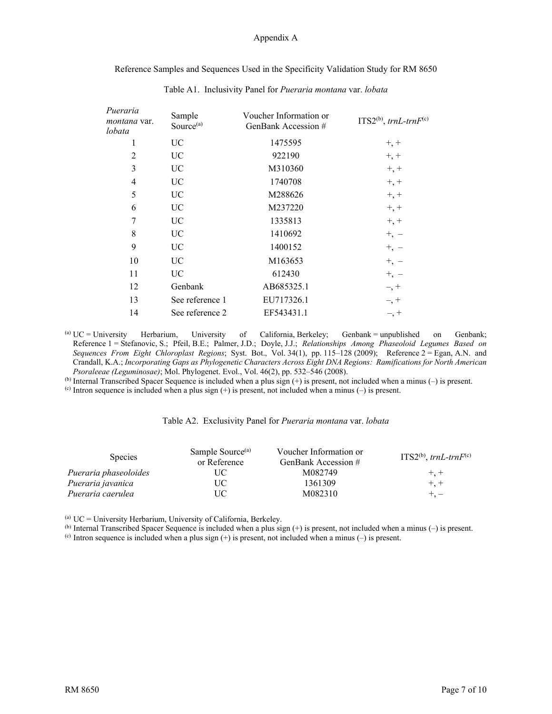#### Appendix A

Reference Samples and Sequences Used in the Specificity Validation Study for RM 8650

| Pueraria<br>montana var.<br>lobata | Sample<br>Source <sup>(a)</sup> | Voucher Information or<br>GenBank Accession # | $ITS2^{(b)}$ , trnL-trn $F^{(c)}$ |
|------------------------------------|---------------------------------|-----------------------------------------------|-----------------------------------|
| 1                                  | UC                              | 1475595                                       | $+, +$                            |
| $\overline{2}$                     | UC                              | 922190                                        | $+, +$                            |
| 3                                  | UC                              | M310360                                       | $+, +$                            |
| 4                                  | UC                              | 1740708                                       | $+, +$                            |
| 5                                  | UC                              | M288626                                       | $+, +$                            |
| 6                                  | UC                              | M237220                                       | $+, +$                            |
| 7                                  | UC                              | 1335813                                       | $+, +$                            |
| 8                                  | UC                              | 1410692                                       | $+,-$                             |
| 9                                  | UC                              | 1400152                                       | $+,-$                             |
| 10                                 | <b>UC</b>                       | M163653                                       | $+,-$                             |
| 11                                 | UC                              | 612430                                        | $+,-$                             |
| 12                                 | Genbank                         | AB685325.1                                    | $-$ , $+$                         |
| 13                                 | See reference 1                 | EU717326.1                                    | $-$ , $+$                         |
| 14                                 | See reference 2                 | EF543431.1                                    | $-$ , +                           |
|                                    |                                 |                                               |                                   |

Table A1. Inclusivity Panel for *Pueraria montana* var. *lobata*

(a) UC = University Herbarium, University of California, Berkeley; Genbank = unpublished on Genbank; Reference 1 = Stefanovic, S.; Pfeil, B.E.; Palmer, J.D.; Doyle, J.J.; *Relationships Among Phaseoloid Legumes Based on Sequences From Eight Chloroplast Regions*; Syst. Bot., Vol. 34(1), pp. 115‒128 (2009); Reference 2 = Egan, A.N. and Crandall, K.A.; *Incorporating Gaps as Phylogenetic Characters Across Eight DNA Regions: Ramifications for North American Psoraleeae (Leguminosae)*; Mol. Phylogenet. Evol., Vol. 46(2), pp. 532–546 (2008).

(b) Internal Transcribed Spacer Sequence is included when a plus sign  $(+)$  is present, not included when a minus  $(-)$  is present.

(c) Intron sequence is included when a plus sign  $(+)$  is present, not included when a minus  $(-)$  is present.

| <b>Species</b>        | Sample Source <sup>(a)</sup><br>or Reference | Voucher Information or<br>GenBank Accession # | ITS2 <sup>(b)</sup> , trnL-trnF <sup>(c)</sup> |
|-----------------------|----------------------------------------------|-----------------------------------------------|------------------------------------------------|
| Pueraria phaseoloides | UC.                                          | M082749                                       | $+, +$                                         |
| Pueraria javanica     | UC                                           | 1361309                                       | $+, +$                                         |
| Pueraria caerulea     | UC                                           | M082310                                       | $+ -$                                          |

 $^{(a)}$  UC = University Herbarium, University of California, Berkeley.

(b) Internal Transcribed Spacer Sequence is included when a plus sign  $(+)$  is present, not included when a minus  $(-)$  is present. (c) Intron sequence is included when a plus sign  $(+)$  is present, not included when a minus  $(-)$  is present.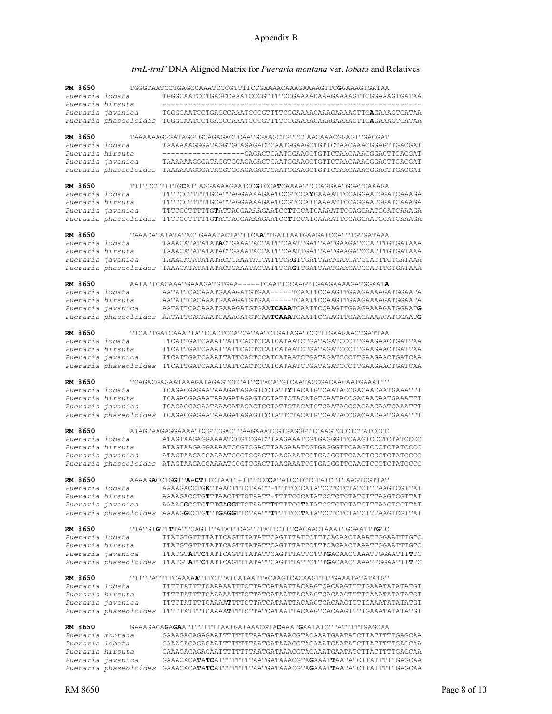## *trnL-trnF* DNA Aligned Matrix for *Pueraria montana* var. *lobata* and Relatives

| RM 8650          |                       | TGGGCAATCCTGAGCCAAATCCCGTTTTCCGAAAACAAAGAAAAGTTCGGAAAGTGATAA                           |
|------------------|-----------------------|----------------------------------------------------------------------------------------|
| Pueraria lobata  |                       | TGGGCAATCCTGAGCCAAATCCCGTTTTCCGAAAACAAAGAAAAGTTCGGAAAGTGATAA                           |
| Pueraria hirsuta |                       |                                                                                        |
|                  | Pueraria javanica     | TGGGCAATCCTGAGCCAAATCCCGTTTTCCGAAAACAAAGAAAAGTTCAGAAAGTGATAA                           |
|                  |                       | Pueraria phaseoloides TGGGCAATCCTGAGCCAAATCCCGTTTTCCGAAAACAAAAGAAAAGTTCAGAAAGTGATAA    |
| RM 8650          |                       | TAAAAAAGGGATAGGTGCAGAGACTCAATGGAAGCTGTTCTAACAAACGGAGTTGACGAT                           |
| Pueraria lobata  |                       | TAAAAAAGGGATAGGTGCAGAGACTCAATGGAAGCTGTTCTAACAAACGGAGTTGACGAT                           |
| Pueraria hirsuta |                       | -----------------GAGACTCAATGGAAGCTGTTCTAACAAACGGAGTTGACGAT                             |
|                  | Pueraria javanica     | TAAAAAAGGGATAGGTGCAGAGACTCAATGGAAGCTGTTCTAACAAACGGAGTTGACGAT                           |
|                  | Pueraria phaseoloides | TAAAAAAGGGATAGGTGCAGAGACTCAATGGAAGCTGTTCTAACAAACGGAGTTGACGAT                           |
| RM 8650          |                       | TTTTCCTTTTTGCATTAGGAAAAGAATCCGTCCATCAAAATTCCAGGAATGGATCAAAGA                           |
| Pueraria lobata  |                       | TTTTCCTTTTTGCATTAGGAAAAGAATCCGTCCAYCAAAATTCCAGGAATGGATCAAAGA                           |
| Pueraria hirsuta |                       | TTTTCCTTTTTGCATTAGGAAAAGAATCCGTCCATCAAAATTCCAGGAATGGATCAAAGA                           |
|                  | Pueraria javanica     | TTTTCCTTTTTGTATTAGGAAAAGAATCCTTCCATCAAAATTCCAGGAATGGATCAAAGA                           |
|                  | Pueraria phaseoloides | TTTTCCTTTTTGTATTAGGAAAAGAATCCTTCCATCAAAATTCCAGGAATGGATCAAAGA                           |
| RM 8650          |                       | TAAACATATATATACTGAAATACTATTTCAATTGATTAATGAAGATCCATTTGTGATAAA                           |
| Pueraria lobata  |                       | TAAACATATATATACTGAAATACTATTTCAATTGATTAATGAAGATCCATTTGTGATAAA                           |
| Pueraria hirsuta |                       | TAAACATATATATACTGAAATACTATTTCAATTGATTAATGAAGATCCATTTGTGATAAA                           |
|                  | Pueraria javanica     | TAAACATATATATACTGAAATACTATTTCAGTTGATTAATGAAGATCCATTTGTGATAAA                           |
|                  | Pueraria phaseoloides | TAAACATATATATACTGAAATACTATTTCAGTTGATTAATGAAGATCCATTTGTGATAAA                           |
| RM 8650          |                       | AATATTCACAAATGAAAGATGTGAA-----TCAATTCCAAGTTGAAGAAAAGATGGAATA                           |
| Pueraria lobata  |                       | AATATTCACAAATGAAAGATGTGAA-----TCAATTCCAAGTTGAAGAAAAGATGGAATA                           |
| Pueraria hirsuta |                       | AATATTCACAAATGAAAGATGTGAA-----TCAATTCCAAGTTGAAGAAAGATGGAATA                            |
|                  | Pueraria javanica     | AATATTCACAAATGAAAGATGTGAATCAAATCAATTCCAAGTTGAAGAAAAGATGGAATG                           |
|                  |                       | Pueraria phaseoloides AATATTCACAAATGAAAGATGTGAATCAAATCAATTCCAAGTTGAAGAAAAGATGGAATG     |
| RM 8650          |                       | TTCATTGATCAAATTATTCACTCCATCATAATCTGATAGATCCCTTGAAGAACTGATTAA                           |
| Pueraria lobata  |                       | TTCATTGATCAAATTATTCACTCCATCATAATCTGATAGATCCCTTGAAGAACTGATTAA                           |
| Pueraria hirsuta |                       | TTCATTGATCAAATTATTCACTCCATCATAATCTGATAGATCCCTTGAAGAACTGATTAA                           |
|                  | Pueraria javanica     | TTCATTGATCAAATTATTCACTCCATCATAATCTGATAGATCCCTTGAAGAACTGATCAA                           |
|                  | Pueraria phaseoloides | TTCATTGATCAAATTATTCACTCCATCATAATCTGATAGATCCCTTGAAGAACTGATCAA                           |
| RM 8650          |                       | TCAGACGAGAATAAAGATAGAGTCCTATTCTACATGTCAATACCGACAACAATGAAATTT                           |
| Pueraria lobata  |                       | TCAGACGAGAATAAAGATAGAGTCCTATTYTACATGTCAATACCGACAACAATGAAATTT                           |
| Pueraria hirsuta |                       | TCAGACGAGAATAAAGATAGAGTCCTATTCTACATGTCAATACCGACAACAATGAAATTT                           |
|                  | Pueraria javanica     | TCAGACGAGAATAAAGATAGAGTCCTATTCTACATGTCAATACCGACAACAATGAAATTT                           |
|                  |                       | Pueraria phaseoloides TCAGACGAGAATAAAGATAGAGTCCTATTCTACATGTCAATACCGACAACAATGAAATTT     |
| RM 8650          |                       | ATAGTAAGAGGAAAATCCGTCGACTTAAGAAATCGTGAGGGTTCAAGTCCCTCTATCCCC                           |
| Pueraria lobata  |                       | ATAGTAAGAGGAAAATCCGTCGACTTAAGAAATCGTGAGGGTTCAAGTCCCTCTATCCCC                           |
| Pueraria hirsuta |                       | ATAGTAAGAGGAAAATCCGTCGACTTAAGAAATCGTGAGGGTTCAAGTCCCTCTATCCCC                           |
|                  | Pueraria javanica     | ATAGTAAGAGGAAAATCCGTCGACTTAAGAAATCGTGAGGGTTCAAGTCCCTCTATCCCC                           |
|                  | Pueraria phaseoloides | ATAGTAAGAGGAAAATCCGTCGACTTAAGAAATCGTGAGGGTTCAAGTCCCTCTATCCCC                           |
| RM 8650          |                       | AAAAGACCTGGTTAACTTTCTAATT-TTTTCCCATATCCTCTCTATCTTTAAGTCGTTAT                           |
|                  | Pueraria lobata       | AAAAGACCTGKTTAACTTTCTAATT-TTTTCCCATATCCTCTCTATCTTTAAGTCGTTAT                           |
| Pueraria hirsuta |                       | AAAAGACCTGTTTAACTTTCTAATT-TTTTCCCATATCCTCTCTATCTTTAAGTCGTTAT                           |
|                  | Pueraria javanica     | AAAAGGCCTGTTTGAGGTTCTAATTTTTTCCTATATCCTCTCTATCTTTAAGTCGTTAT                            |
|                  |                       | Pueraria phaseoloides AAAAGGCCTGTTTGAGGTTCTAATTTTTTCCTATATCCTCTCTATCTTTAAGTCGTTAT      |
| RM 8650          |                       | TTATGTGTTTTATTCAGTTTATATTCAGTTTATTCTTTCACAACTAAATTGGAATTTGTC                           |
| Pueraria lobata  |                       | TTATGTGTTTTATTCAGTTTATATTCAGTTTATTCTTTCACAACTAAATTGGAATTTGTC                           |
| Pueraria hirsuta |                       | TTATGTGTTTTATTCAGTTTATATTCAGTTTATTCTTTCACAACTAAATTGGAATTTGTC                           |
|                  | Pueraria javanica     | TTATGTATTCTATTCAGTTTATATTCAGTTTATTCTTTGACAACTAAATTGGAATTTTTC                           |
|                  |                       | Pueraria phaseoloides TTATGTATTCTATTCAGTTTATATTCAGTTTATTCTTTGACAACTAAATTGGAATTTTTC     |
| RM 8650          |                       |                                                                                        |
| Pueraria lobata  |                       |                                                                                        |
| Pueraria hirsuta |                       |                                                                                        |
|                  | Pueraria javanica     |                                                                                        |
|                  |                       |                                                                                        |
| RM 8650          |                       | GAAAGACA <b>GAGA</b> ATTTTTTTAATGATAAACGTA <b>C</b> AAAT <b>G</b> AATATCTTATTTTTGAGCAA |
| Pueraria montana |                       | GAAAGACAGAGAATTTTTTTAATGATAAACGTACAAATGAATATCTTATTTTTGAGCAA                            |
| Pueraria lobata  |                       | GAAAGACAGAGAATTTTTTTAATGATAAACGTACAAATGAATATCTTATTTTTGAGCAA                            |
| Pueraria hirsuta |                       | GAAAGACAGAGAATTTTTTTAATGATAAACGTACAAATGAATATCTTATTTTTGAGCAA                            |
|                  | Pueraria javanica     | GAAACACATATCATTTTTTTTAATGATAAACGTAGAAATTAATATCTTATTTTTGAGCAA                           |
|                  |                       | Pueraria phaseoloides GAAACACATATCATTTTTTTAATGATAAACGTAGAAATTAATATCTTATTTTTGAGCAA      |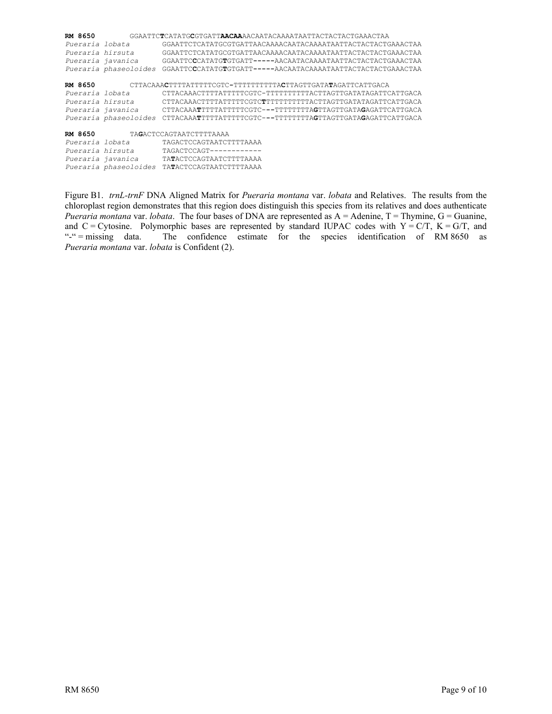| RM 8650           |                       | GGAATTCTCATATGCGTGATT <b>AACAA</b> AACAATACAAAATAATTACTACTACTGAAACTAA            |
|-------------------|-----------------------|----------------------------------------------------------------------------------|
| Pueraria lobata   |                       | GGAATTCTCATATGCGTGATTAACAAAACAATACAAAATAATTACTACTACTGAAACTAA                     |
| Pueraria hirsuta  |                       | GGAATTCTCATATGCGTGATTAACAAAACAATACAAAATAATTACTACTACTGAAACTAA                     |
| Pueraria javanica |                       | GGAATTCCCATATGTGTGATT-----AACAATACAAAATAATTACTACTACTGAAACTAA                     |
|                   | Pueraria phaseoloides | $GGAATTCCCATATGTGTGATT---AACAATACAAAATAATTACTACTACTACTGAAACTAA$                  |
|                   |                       |                                                                                  |
| RM 8650           |                       | CTTACAAACTTTTATTTTTCGTC-TTTTTTTTTTACTTAGTTGATATAGATTCATTGACA                     |
| Pueraria lobata   |                       | CTTACAAACTTTTATTTTTCGTC-TTTTTTTTTTACTTAGTTGATATAGATTCATTGACA                     |
| Pueraria hirsuta  |                       | $CTTACAAACTTTTATTTTTCCGTCTTTTTTTTTTTTTATACTTAGTTTGATATAATTCATTGACAA$             |
| Pueraria javanica |                       | $CTTACAAATTTTTTATTTTTCCGTC---TTTTTTTTTTAAGTTAGTTGGATAGAGATTCATTTGACA$            |
|                   |                       | Pueraria phaseoloides CTTACAAATTTTTATTTTCGTC---TTTTTTTAGTTAGTTGATAGAGATTCATTGACA |
|                   |                       |                                                                                  |
| RM 8650           |                       | TAGACTCCAGTAATCTTTTAAAA                                                          |
| Pueraria lobata   |                       | TAGACTCCAGTAATCTTTTAAAA                                                          |
| Pueraria hirsuta  |                       | TAGACTCCAGT------------                                                          |
| Pueraria javanica |                       | TATACTCCAGTAATCTTTTAAAA                                                          |
|                   | Pueraria phaseoloides | TATACTCCAGTAATCTTTTAAAA                                                          |

Figure B1. *trnL-trnF* DNA Aligned Matrix for *Pueraria montana* var. *lobata* and Relatives. The results from the chloroplast region demonstrates that this region does distinguish this species from its relatives and does authenticate *Pueraria montana* var. *lobata*. The four bases of DNA are represented as A = Adenine, T = Thymine, G = Guanine, and C = Cytosine. Polymorphic bases are represented by standard IUPAC codes with Y = C/T, K = G/T, and "-" = missing data. The confidence estimate for the species identification of RM 8650 as The confidence estimate for the species identification of RM 8650 as *Pueraria montana* var. *lobata* is Confident (2).